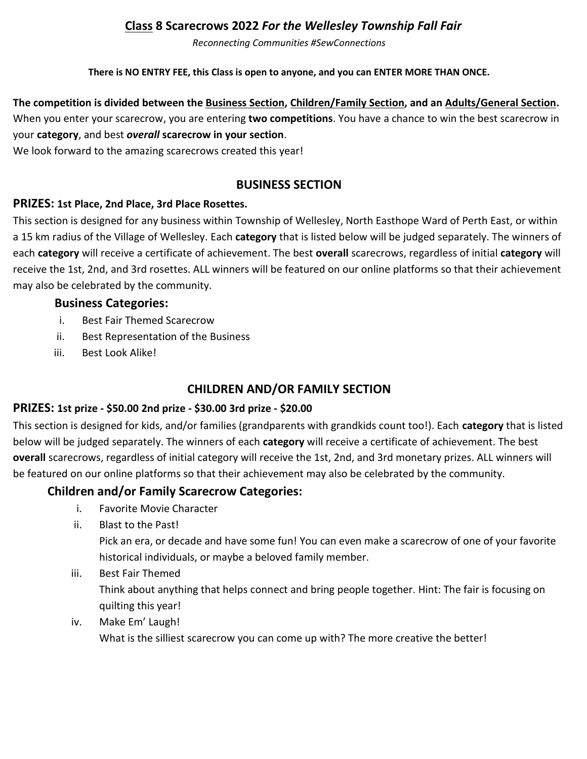# **Class 8 Scarecrows 2022** *For the Wellesley Township Fall Fair*

*Reconnecting Communities #SewConnections*

#### **There is NO ENTRY FEE, this Class is open to anyone, and you can ENTER MORE THAN ONCE.**

## **The competition is divided between the Business Section, Children/Family Section, and an Adults/General Section.**  When you enter your scarecrow, you are entering **two competitions**. You have a chance to win the best scarecrow in your **category**, and best *overall* **scarecrow in your section**.

We look forward to the amazing scarecrows created this year!

## **BUSINESS SECTION**

#### **PRIZES: 1st Place, 2nd Place, 3rd Place Rosettes.**

This section is designed for any business within Township of Wellesley, North Easthope Ward of Perth East, or within a 15 km radius of the Village of Wellesley. Each **category** that is listed below will be judged separately. The winners of each **category** will receive a certificate of achievement. The best **overall** scarecrows, regardless of initial **category** will receive the 1st, 2nd, and 3rd rosettes. ALL winners will be featured on our online platforms so that their achievement may also be celebrated by the community.

#### **Business Categories:**

- i. Best Fair Themed Scarecrow
- ii. Best Representation of the Business
- iii. Best Look Alike!

## **CHILDREN AND/OR FAMILY SECTION**

#### **PRIZES: 1st prize - \$50.00 2nd prize - \$30.00 3rd prize - \$20.00**

This section is designed for kids, and/or families (grandparents with grandkids count too!). Each **category** that is listed below will be judged separately. The winners of each **category** will receive a certificate of achievement. The best **overall** scarecrows, regardless of initial category will receive the 1st, 2nd, and 3rd monetary prizes. ALL winners will be featured on our online platforms so that their achievement may also be celebrated by the community.

## **Children and/or Family Scarecrow Categories:**

- i. Favorite Movie Character
- ii. Blast to the Past!

Pick an era, or decade and have some fun! You can even make a scarecrow of one of your favorite historical individuals, or maybe a beloved family member.

## iii. Best Fair Themed

Think about anything that helps connect and bring people together. Hint: The fair is focusing on quilting this year!

iv. Make Em' Laugh!

What is the silliest scarecrow you can come up with? The more creative the better!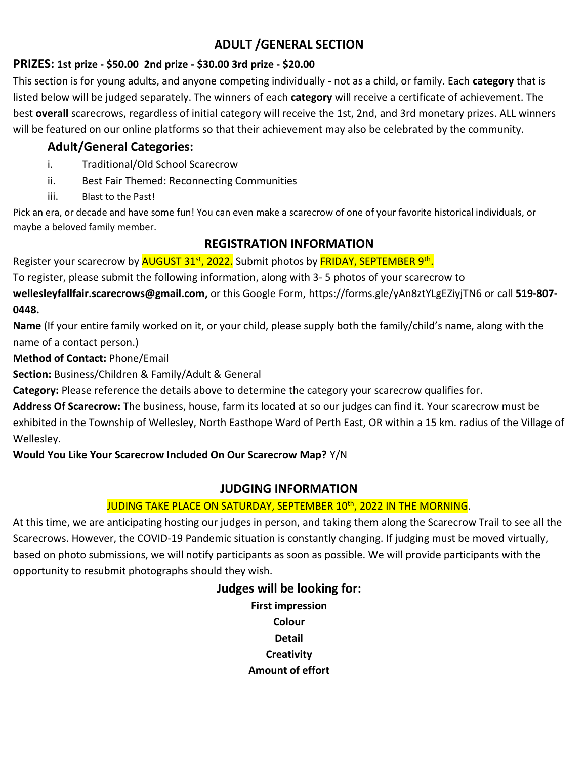# **ADULT /GENERAL SECTION**

## **PRIZES: 1st prize - \$50.00 2nd prize - \$30.00 3rd prize - \$20.00**

This section is for young adults, and anyone competing individually - not as a child, or family. Each **category** that is listed below will be judged separately. The winners of each **category** will receive a certificate of achievement. The best **overall** scarecrows, regardless of initial category will receive the 1st, 2nd, and 3rd monetary prizes. ALL winners will be featured on our online platforms so that their achievement may also be celebrated by the community.

# **Adult/General Categories:**

- i. Traditional/Old School Scarecrow
- ii. Best Fair Themed: Reconnecting Communities
- iii. Blast to the Past!

Pick an era, or decade and have some fun! You can even make a scarecrow of one of your favorite historical individuals, or maybe a beloved family member.

## **REGISTRATION INFORMATION**

Register your scarecrow by <mark>AUGUST 31<sup>st</sup>, 2022.</mark> Submit photos by <mark>FRIDAY, SEPTEMBER 9<sup>th</sup>.</mark>

To register, please submit the following information, along with 3- 5 photos of your scarecrow to

**[wellesleyfallfair.scarecrows@gmail.com,](mailto:wellesleyfallfair.scarecrows@gmail.com)** or this Google Form, https://forms.gle/yAn8ztYLgEZiyjTN6 or call **519-807- 0448.**

**Name** (If your entire family worked on it, or your child, please supply both the family/child's name, along with the name of a contact person.)

## **Method of Contact:** Phone/Email

**Section:** Business/Children & Family/Adult & General

**Category:** Please reference the details above to determine the category your scarecrow qualifies for.

**Address Of Scarecrow:** The business, house, farm its located at so our judges can find it. Your scarecrow must be exhibited in the Township of Wellesley, North Easthope Ward of Perth East, OR within a 15 km. radius of the Village of Wellesley.

## **Would You Like Your Scarecrow Included On Our Scarecrow Map?** Y/N

## **JUDGING INFORMATION**

## JUDING TAKE PLACE ON SATURDAY, SEPTEMBER 10<sup>th</sup>, 2022 IN THE MORNING.

At this time, we are anticipating hosting our judges in person, and taking them along the Scarecrow Trail to see all the Scarecrows. However, the COVID-19 Pandemic situation is constantly changing. If judging must be moved virtually, based on photo submissions, we will notify participants as soon as possible. We will provide participants with the opportunity to resubmit photographs should they wish.

## **Judges will be looking for:**

**First impression Colour Detail Creativity Amount of effort**